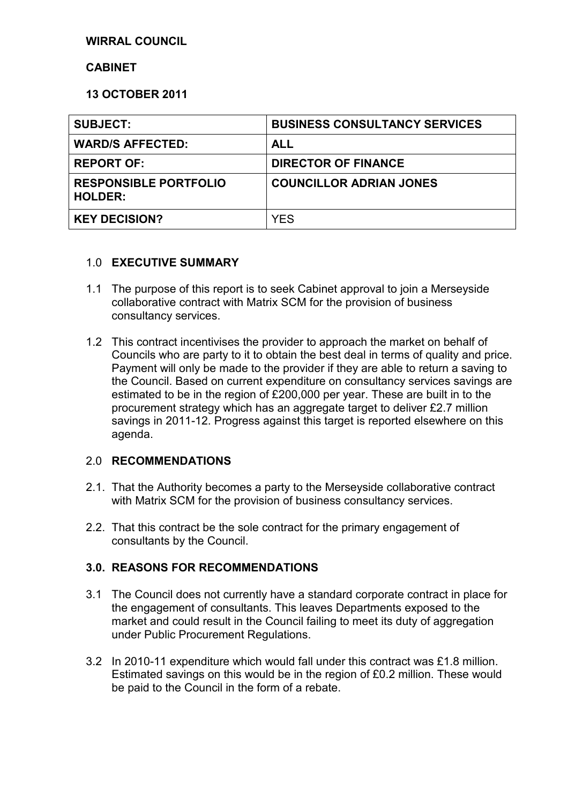#### **WIRRAL COUNCIL**

#### **CABINET**

#### **13 OCTOBER 2011**

| <b>SUBJECT:</b>                                | <b>BUSINESS CONSULTANCY SERVICES</b> |
|------------------------------------------------|--------------------------------------|
| <b>WARD/S AFFECTED:</b>                        | <b>ALL</b>                           |
| <b>REPORT OF:</b>                              | <b>DIRECTOR OF FINANCE</b>           |
| <b>RESPONSIBLE PORTFOLIO</b><br><b>HOLDER:</b> | <b>COUNCILLOR ADRIAN JONES</b>       |
| <b>KEY DECISION?</b>                           | <b>YES</b>                           |

#### 1.0 **EXECUTIVE SUMMARY**

- 1.1 The purpose of this report is to seek Cabinet approval to join a Merseyside collaborative contract with Matrix SCM for the provision of business consultancy services.
- 1.2 This contract incentivises the provider to approach the market on behalf of Councils who are party to it to obtain the best deal in terms of quality and price. Payment will only be made to the provider if they are able to return a saving to the Council. Based on current expenditure on consultancy services savings are estimated to be in the region of £200,000 per year. These are built in to the procurement strategy which has an aggregate target to deliver £2.7 million savings in 2011-12. Progress against this target is reported elsewhere on this agenda.

# 2.0 **RECOMMENDATIONS**

- 2.1. That the Authority becomes a party to the Merseyside collaborative contract with Matrix SCM for the provision of business consultancy services.
- 2.2. That this contract be the sole contract for the primary engagement of consultants by the Council.

# **3.0. REASONS FOR RECOMMENDATIONS**

- 3.1 The Council does not currently have a standard corporate contract in place for the engagement of consultants. This leaves Departments exposed to the market and could result in the Council failing to meet its duty of aggregation under Public Procurement Regulations.
- 3.2 In 2010-11 expenditure which would fall under this contract was £1.8 million. Estimated savings on this would be in the region of £0.2 million. These would be paid to the Council in the form of a rebate.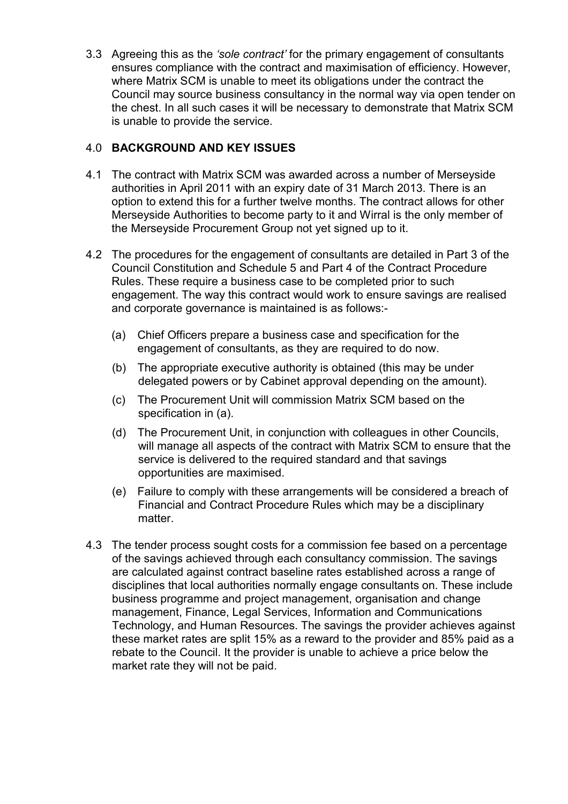3.3 Agreeing this as the *'sole contract'* for the primary engagement of consultants ensures compliance with the contract and maximisation of efficiency. However, where Matrix SCM is unable to meet its obligations under the contract the Council may source business consultancy in the normal way via open tender on the chest. In all such cases it will be necessary to demonstrate that Matrix SCM is unable to provide the service.

# 4.0 **BACKGROUND AND KEY ISSUES**

- 4.1 The contract with Matrix SCM was awarded across a number of Merseyside authorities in April 2011 with an expiry date of 31 March 2013. There is an option to extend this for a further twelve months. The contract allows for other Merseyside Authorities to become party to it and Wirral is the only member of the Merseyside Procurement Group not yet signed up to it.
- 4.2 The procedures for the engagement of consultants are detailed in Part 3 of the Council Constitution and Schedule 5 and Part 4 of the Contract Procedure Rules. These require a business case to be completed prior to such engagement. The way this contract would work to ensure savings are realised and corporate governance is maintained is as follows:-
	- (a) Chief Officers prepare a business case and specification for the engagement of consultants, as they are required to do now.
	- (b) The appropriate executive authority is obtained (this may be under delegated powers or by Cabinet approval depending on the amount).
	- (c) The Procurement Unit will commission Matrix SCM based on the specification in (a).
	- (d) The Procurement Unit, in conjunction with colleagues in other Councils, will manage all aspects of the contract with Matrix SCM to ensure that the service is delivered to the required standard and that savings opportunities are maximised.
	- (e) Failure to comply with these arrangements will be considered a breach of Financial and Contract Procedure Rules which may be a disciplinary matter.
- 4.3 The tender process sought costs for a commission fee based on a percentage of the savings achieved through each consultancy commission. The savings are calculated against contract baseline rates established across a range of disciplines that local authorities normally engage consultants on. These include business programme and project management, organisation and change management, Finance, Legal Services, Information and Communications Technology, and Human Resources. The savings the provider achieves against these market rates are split 15% as a reward to the provider and 85% paid as a rebate to the Council. It the provider is unable to achieve a price below the market rate they will not be paid.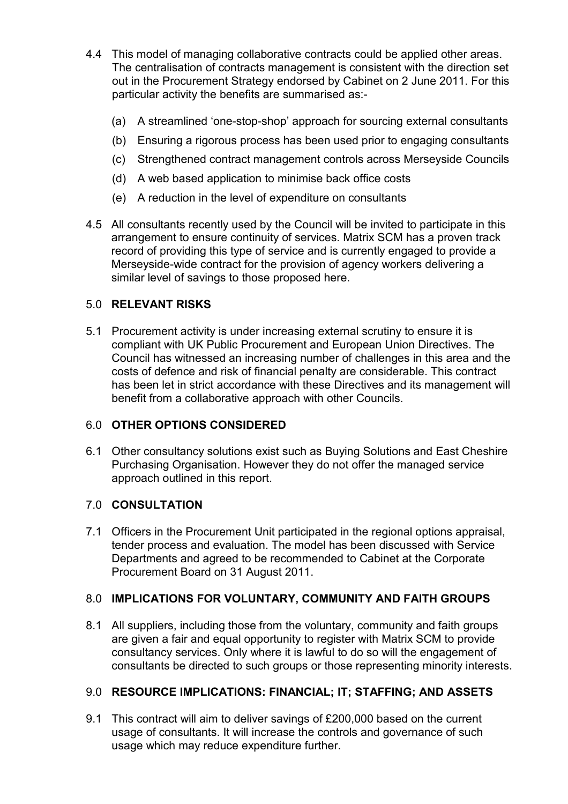- 4.4 This model of managing collaborative contracts could be applied other areas. The centralisation of contracts management is consistent with the direction set out in the Procurement Strategy endorsed by Cabinet on 2 June 2011. For this particular activity the benefits are summarised as:-
	- (a) A streamlined 'one-stop-shop' approach for sourcing external consultants
	- (b) Ensuring a rigorous process has been used prior to engaging consultants
	- (c) Strengthened contract management controls across Merseyside Councils
	- (d) A web based application to minimise back office costs
	- (e) A reduction in the level of expenditure on consultants
- 4.5 All consultants recently used by the Council will be invited to participate in this arrangement to ensure continuity of services. Matrix SCM has a proven track record of providing this type of service and is currently engaged to provide a Merseyside-wide contract for the provision of agency workers delivering a similar level of savings to those proposed here.

#### 5.0 **RELEVANT RISKS**

5.1 Procurement activity is under increasing external scrutiny to ensure it is compliant with UK Public Procurement and European Union Directives. The Council has witnessed an increasing number of challenges in this area and the costs of defence and risk of financial penalty are considerable. This contract has been let in strict accordance with these Directives and its management will benefit from a collaborative approach with other Councils.

# 6.0 **OTHER OPTIONS CONSIDERED**

6.1 Other consultancy solutions exist such as Buying Solutions and East Cheshire Purchasing Organisation. However they do not offer the managed service approach outlined in this report.

#### 7.0 **CONSULTATION**

7.1 Officers in the Procurement Unit participated in the regional options appraisal, tender process and evaluation. The model has been discussed with Service Departments and agreed to be recommended to Cabinet at the Corporate Procurement Board on 31 August 2011.

# 8.0 **IMPLICATIONS FOR VOLUNTARY, COMMUNITY AND FAITH GROUPS**

8.1 All suppliers, including those from the voluntary, community and faith groups are given a fair and equal opportunity to register with Matrix SCM to provide consultancy services. Only where it is lawful to do so will the engagement of consultants be directed to such groups or those representing minority interests.

#### 9.0 **RESOURCE IMPLICATIONS: FINANCIAL; IT; STAFFING; AND ASSETS**

9.1 This contract will aim to deliver savings of £200,000 based on the current usage of consultants. It will increase the controls and governance of such usage which may reduce expenditure further.